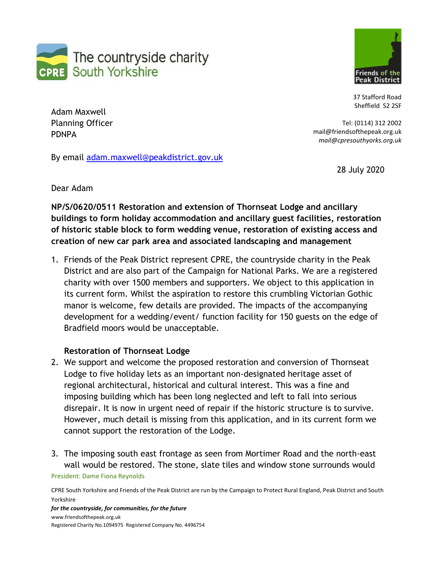



37 Stafford Road Sheffield S2 2SF

Tel: (0114) 312 2002

Adam Maxwell Planning Officer PDNPA

By email [adam.maxwell@peakdistrict.gov.uk](mailto:adam.maxwell@peakdistrict.gov.uk)

28 July 2020

mail@friendsofthepeak.org.uk *mail@cpresouthyorks.org.uk*

Dear Adam

**NP/S/0620/0511 Restoration and extension of Thornseat Lodge and ancillary buildings to form holiday accommodation and ancillary guest facilities, restoration of historic stable block to form wedding venue, restoration of existing access and creation of new car park area and associated landscaping and management**

1. Friends of the Peak District represent CPRE, the countryside charity in the Peak District and are also part of the Campaign for National Parks. We are a registered charity with over 1500 members and supporters. We object to this application in its current form. Whilst the aspiration to restore this crumbling Victorian Gothic manor is welcome, few details are provided. The impacts of the accompanying development for a wedding/event/ function facility for 150 guests on the edge of Bradfield moors would be unacceptable.

# **Restoration of Thornseat Lodge**

- 2. We support and welcome the proposed restoration and conversion of Thornseat Lodge to five holiday lets as an important non-designated heritage asset of regional architectural, historical and cultural interest. This was a fine and imposing building which has been long neglected and left to fall into serious disrepair. It is now in urgent need of repair if the historic structure is to survive. However, much detail is missing from this application, and in its current form we cannot support the restoration of the Lodge.
- President: Dame Fiona Reynolds 3. The imposing south east frontage as seen from Mortimer Road and the north-east wall would be restored. The stone, slate tiles and window stone surrounds would

CPRE South Yorkshire and Friends of the Peak District are run by the Campaign to Protect Rural England, Peak District and South Yorkshire *for the countryside, for communities, for the future*

[www.friendsofthepeak.org.uk](http://www.friendsofthepeak.org.uk/)  Registered Charity No.1094975 Registered Company No. 4496754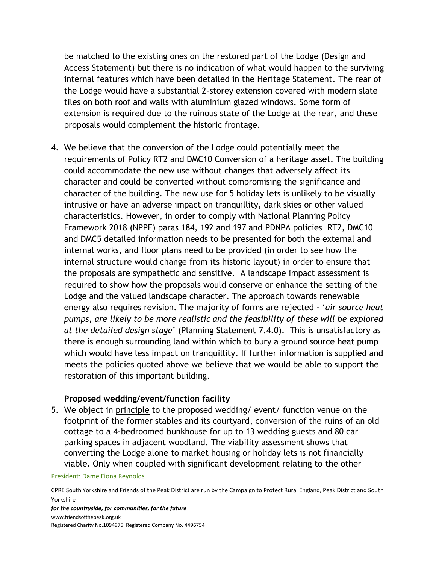be matched to the existing ones on the restored part of the Lodge (Design and Access Statement) but there is no indication of what would happen to the surviving internal features which have been detailed in the Heritage Statement. The rear of the Lodge would have a substantial 2-storey extension covered with modern slate tiles on both roof and walls with aluminium glazed windows. Some form of extension is required due to the ruinous state of the Lodge at the rear, and these proposals would complement the historic frontage.

4. We believe that the conversion of the Lodge could potentially meet the requirements of Policy RT2 and DMC10 Conversion of a heritage asset. The building could accommodate the new use without changes that adversely affect its character and could be converted without compromising the significance and character of the building. The new use for 5 holiday lets is unlikely to be visually intrusive or have an adverse impact on tranquillity, dark skies or other valued characteristics. However, in order to comply with National Planning Policy Framework 2018 (NPPF) paras 184, 192 and 197 and PDNPA policies RT2, DMC10 and DMC5 detailed information needs to be presented for both the external and internal works, and floor plans need to be provided (in order to see how the internal structure would change from its historic layout) in order to ensure that the proposals are sympathetic and sensitive. A landscape impact assessment is required to show how the proposals would conserve or enhance the setting of the Lodge and the valued landscape character. The approach towards renewable energy also requires revision. The majority of forms are rejected - '*air source heat pumps, are likely to be more realistic and the feasibility of these will be explored at the detailed design stage*' (Planning Statement 7.4.0). This is unsatisfactory as there is enough surrounding land within which to bury a ground source heat pump which would have less impact on tranquillity. If further information is supplied and meets the policies quoted above we believe that we would be able to support the restoration of this important building.

# **Proposed wedding/event/function facility**

5. We object in principle to the proposed wedding/ event/ function venue on the footprint of the former stables and its courtyard, conversion of the ruins of an old cottage to a 4-bedroomed bunkhouse for up to 13 wedding guests and 80 car parking spaces in adjacent woodland. The viability assessment shows that converting the Lodge alone to market housing or holiday lets is not financially viable. Only when coupled with significant development relating to the other

### President: Dame Fiona Reynolds

CPRE South Yorkshire and Friends of the Peak District are run by the Campaign to Protect Rural England, Peak District and South Yorkshire

*for the countryside, for communities, for the future* [www.friendsofthepeak.org.uk](http://www.friendsofthepeak.org.uk/)  Registered Charity No.1094975 Registered Company No. 4496754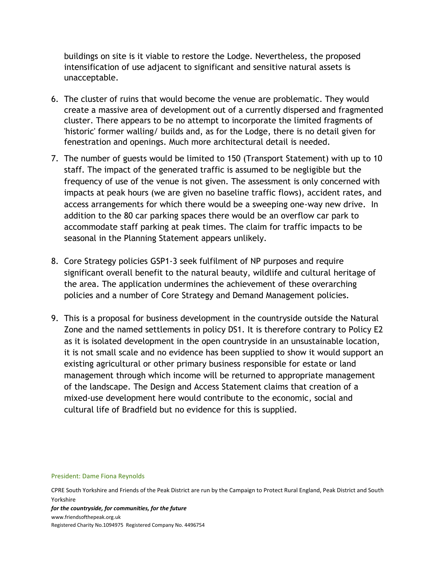buildings on site is it viable to restore the Lodge. Nevertheless, the proposed intensification of use adjacent to significant and sensitive natural assets is unacceptable.

- 6. The cluster of ruins that would become the venue are problematic. They would create a massive area of development out of a currently dispersed and fragmented cluster. There appears to be no attempt to incorporate the limited fragments of 'historic' former walling/ builds and, as for the Lodge, there is no detail given for fenestration and openings. Much more architectural detail is needed.
- 7. The number of guests would be limited to 150 (Transport Statement) with up to 10 staff. The impact of the generated traffic is assumed to be negligible but the frequency of use of the venue is not given. The assessment is only concerned with impacts at peak hours (we are given no baseline traffic flows), accident rates, and access arrangements for which there would be a sweeping one-way new drive. In addition to the 80 car parking spaces there would be an overflow car park to accommodate staff parking at peak times. The claim for traffic impacts to be seasonal in the Planning Statement appears unlikely.
- 8. Core Strategy policies GSP1-3 seek fulfilment of NP purposes and require significant overall benefit to the natural beauty, wildlife and cultural heritage of the area. The application undermines the achievement of these overarching policies and a number of Core Strategy and Demand Management policies.
- 9. This is a proposal for business development in the countryside outside the Natural Zone and the named settlements in policy DS1. It is therefore contrary to Policy E2 as it is isolated development in the open countryside in an unsustainable location, it is not small scale and no evidence has been supplied to show it would support an existing agricultural or other primary business responsible for estate or land management through which income will be returned to appropriate management of the landscape. The Design and Access Statement claims that creation of a mixed-use development here would contribute to the economic, social and cultural life of Bradfield but no evidence for this is supplied.

#### President: Dame Fiona Reynolds

CPRE South Yorkshire and Friends of the Peak District are run by the Campaign to Protect Rural England, Peak District and South Yorkshire

*for the countryside, for communities, for the future* [www.friendsofthepeak.org.uk](http://www.friendsofthepeak.org.uk/)  Registered Charity No.1094975 Registered Company No. 4496754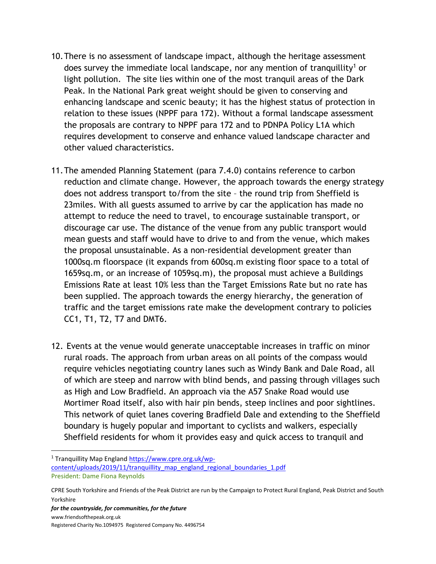- 10.There is no assessment of landscape impact, although the heritage assessment does survey the immediate local landscape, nor any mention of tranquillity<sup>1</sup> or light pollution. The site lies within one of the most tranquil areas of the Dark Peak. In the National Park great weight should be given to conserving and enhancing landscape and scenic beauty; it has the highest status of protection in relation to these issues (NPPF para 172). Without a formal landscape assessment the proposals are contrary to NPPF para 172 and to PDNPA Policy L1A which requires development to conserve and enhance valued landscape character and other valued characteristics.
- 11.The amended Planning Statement (para 7.4.0) contains reference to carbon reduction and climate change. However, the approach towards the energy strategy does not address transport to/from the site – the round trip from Sheffield is 23miles. With all guests assumed to arrive by car the application has made no attempt to reduce the need to travel, to encourage sustainable transport, or discourage car use. The distance of the venue from any public transport would mean guests and staff would have to drive to and from the venue, which makes the proposal unsustainable. As a non-residential development greater than 1000sq.m floorspace (it expands from 600sq.m existing floor space to a total of 1659sq.m, or an increase of 1059sq.m), the proposal must achieve a Buildings Emissions Rate at least 10% less than the Target Emissions Rate but no rate has been supplied. The approach towards the energy hierarchy, the generation of traffic and the target emissions rate make the development contrary to policies CC1, T1, T2, T7 and DMT6.
- 12. Events at the venue would generate unacceptable increases in traffic on minor rural roads. The approach from urban areas on all points of the compass would require vehicles negotiating country lanes such as Windy Bank and Dale Road, all of which are steep and narrow with blind bends, and passing through villages such as High and Low Bradfield. An approach via the A57 Snake Road would use Mortimer Road itself, also with hair pin bends, steep inclines and poor sightlines. This network of quiet lanes covering Bradfield Dale and extending to the Sheffield boundary is hugely popular and important to cyclists and walkers, especially Sheffield residents for whom it provides easy and quick access to tranquil and

President: Dame Fiona Reynolds <sup>1</sup> Tranquillity Map Englan[d https://www.cpre.org.uk/wp](https://www.cpre.org.uk/wp-content/uploads/2019/11/tranquillity_map_england_regional_boundaries_1.pdf)[content/uploads/2019/11/tranquillity\\_map\\_england\\_regional\\_boundaries\\_1.pdf](https://www.cpre.org.uk/wp-content/uploads/2019/11/tranquillity_map_england_regional_boundaries_1.pdf)

CPRE South Yorkshire and Friends of the Peak District are run by the Campaign to Protect Rural England, Peak District and South Yorkshire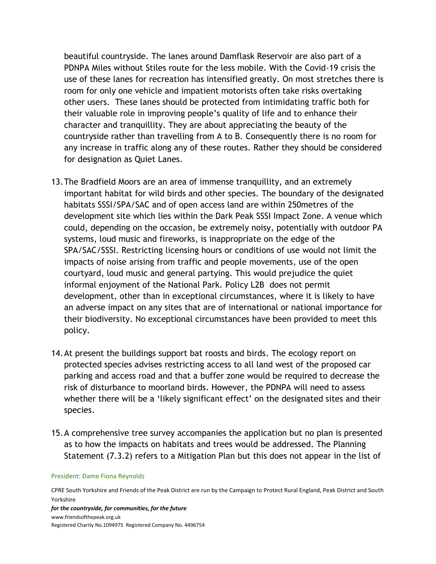beautiful countryside. The lanes around Damflask Reservoir are also part of a PDNPA Miles without Stiles route for the less mobile. With the Covid-19 crisis the use of these lanes for recreation has intensified greatly. On most stretches there is room for only one vehicle and impatient motorists often take risks overtaking other users. These lanes should be protected from intimidating traffic both for their valuable role in improving people's quality of life and to enhance their character and tranquillity. They are about appreciating the beauty of the countryside rather than travelling from A to B. Consequently there is no room for any increase in traffic along any of these routes. Rather they should be considered for designation as Quiet Lanes.

- 13.The Bradfield Moors are an area of immense tranquillity, and an extremely important habitat for wild birds and other species. The boundary of the designated habitats SSSI/SPA/SAC and of open access land are within 250metres of the development site which lies within the Dark Peak SSSI Impact Zone. A venue which could, depending on the occasion, be extremely noisy, potentially with outdoor PA systems, loud music and fireworks, is inappropriate on the edge of the SPA/SAC/SSSI. Restricting licensing hours or conditions of use would not limit the impacts of noise arising from traffic and people movements, use of the open courtyard, loud music and general partying. This would prejudice the quiet informal enjoyment of the National Park. Policy L2B does not permit development, other than in exceptional circumstances, where it is likely to have an adverse impact on any sites that are of international or national importance for their biodiversity. No exceptional circumstances have been provided to meet this policy.
- 14.At present the buildings support bat roosts and birds. The ecology report on protected species advises restricting access to all land west of the proposed car parking and access road and that a buffer zone would be required to decrease the risk of disturbance to moorland birds. However, the PDNPA will need to assess whether there will be a 'likely significant effect' on the designated sites and their species.
- 15.A comprehensive tree survey accompanies the application but no plan is presented as to how the impacts on habitats and trees would be addressed. The Planning Statement (7.3.2) refers to a Mitigation Plan but this does not appear in the list of

### President: Dame Fiona Reynolds

CPRE South Yorkshire and Friends of the Peak District are run by the Campaign to Protect Rural England, Peak District and South Yorkshire

*for the countryside, for communities, for the future* [www.friendsofthepeak.org.uk](http://www.friendsofthepeak.org.uk/)  Registered Charity No.1094975 Registered Company No. 4496754